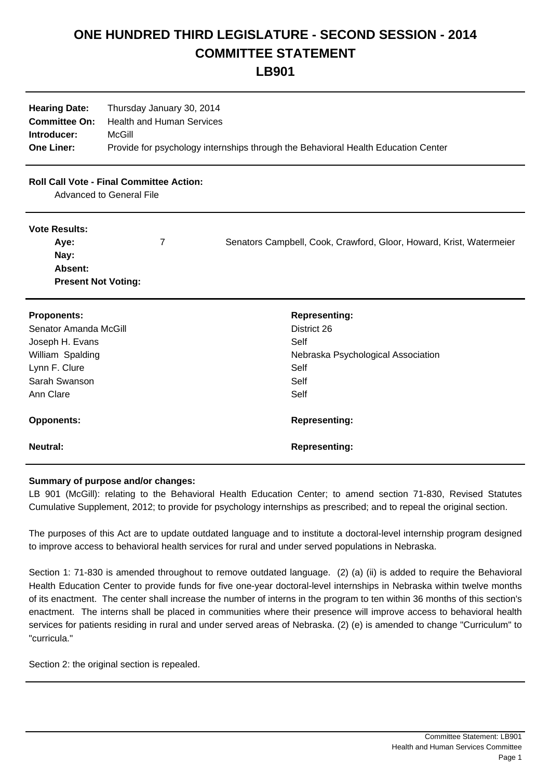## **ONE HUNDRED THIRD LEGISLATURE - SECOND SESSION - 2014 COMMITTEE STATEMENT**

**LB901**

| <b>Hearing Date:</b> | Thursday January 30, 2014                                                         |
|----------------------|-----------------------------------------------------------------------------------|
| <b>Committee On:</b> | Health and Human Services                                                         |
| Introducer:          | McGill                                                                            |
| <b>One Liner:</b>    | Provide for psychology internships through the Behavioral Health Education Center |

## **Roll Call Vote - Final Committee Action:**

Advanced to General File

## **Vote Results:**

| Ave:                       | Senators Campbell, Cook, Crawford, Gloor, Howard, Krist, Watermeier |
|----------------------------|---------------------------------------------------------------------|
| Nav:                       |                                                                     |
| Absent:                    |                                                                     |
| <b>Present Not Voting:</b> |                                                                     |

| <b>Proponents:</b>    | <b>Representing:</b>               |
|-----------------------|------------------------------------|
| Senator Amanda McGill | District 26                        |
| Joseph H. Evans       | Self                               |
| William Spalding      | Nebraska Psychological Association |
| Lynn F. Clure         | Self                               |
| Sarah Swanson         | Self                               |
| Ann Clare             | Self                               |
| <b>Opponents:</b>     | <b>Representing:</b>               |
| <b>Neutral:</b>       | <b>Representing:</b>               |

## **Summary of purpose and/or changes:**

LB 901 (McGill): relating to the Behavioral Health Education Center; to amend section 71-830, Revised Statutes Cumulative Supplement, 2012; to provide for psychology internships as prescribed; and to repeal the original section.

The purposes of this Act are to update outdated language and to institute a doctoral-level internship program designed to improve access to behavioral health services for rural and under served populations in Nebraska.

Section 1: 71-830 is amended throughout to remove outdated language. (2) (a) (ii) is added to require the Behavioral Health Education Center to provide funds for five one-year doctoral-level internships in Nebraska within twelve months of its enactment. The center shall increase the number of interns in the program to ten within 36 months of this section's enactment. The interns shall be placed in communities where their presence will improve access to behavioral health services for patients residing in rural and under served areas of Nebraska. (2) (e) is amended to change "Curriculum" to "curricula."

Section 2: the original section is repealed.